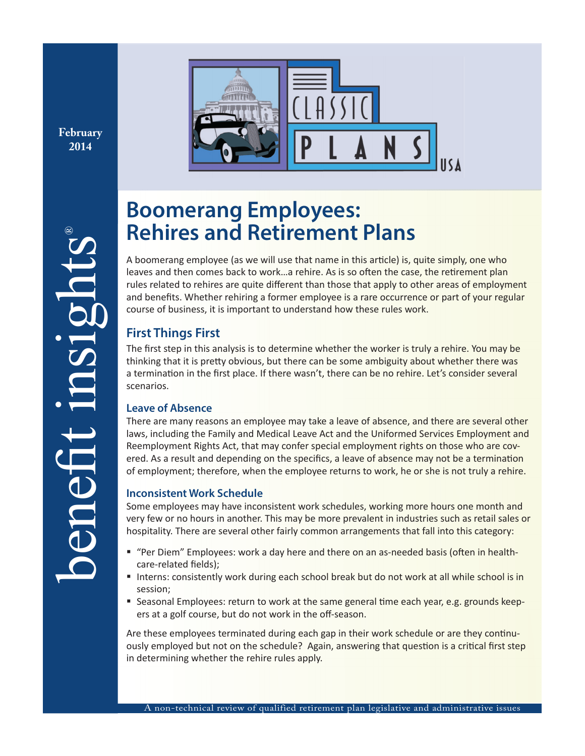**February 2014**



# **Boomerang Employees: Rehires and Retirement Plans**

A boomerang employee (as we will use that name in this article) is, quite simply, one who leaves and then comes back to work...a rehire. As is so often the case, the retirement plan rules related to rehires are quite different than those that apply to other areas of employment and benefits. Whether rehiring a former employee is a rare occurrence or part of your regular course of business, it is important to understand how these rules work.

# **First Things First**

The first step in this analysis is to determine whether the worker is truly a rehire. You may be thinking that it is pretty obvious, but there can be some ambiguity about whether there was a termination in the first place. If there wasn't, there can be no rehire. Let's consider several scenarios.

## **Leave of Absence**

There are many reasons an employee may take a leave of absence, and there are several other laws, including the Family and Medical Leave Act and the Uniformed Services Employment and Reemployment Rights Act, that may confer special employment rights on those who are covered. As a result and depending on the specifics, a leave of absence may not be a termination of employment; therefore, when the employee returns to work, he or she is not truly a rehire.

## **Inconsistent Work Schedule**

Some employees may have inconsistent work schedules, working more hours one month and very few or no hours in another. This may be more prevalent in industries such as retail sales or hospitality. There are several other fairly common arrangements that fall into this category:

- " "Per Diem" Employees: work a day here and there on an as-needed basis (often in healthcare-related fields):
- Interns: consistently work during each school break but do not work at all while school is in session;
- **Seasonal Employees: return to work at the same general time each year, e.g. grounds keep**ers at a golf course, but do not work in the off-season.

Are these employees terminated during each gap in their work schedule or are they continuously employed but not on the schedule? Again, answering that question is a critical first step in determining whether the rehire rules apply.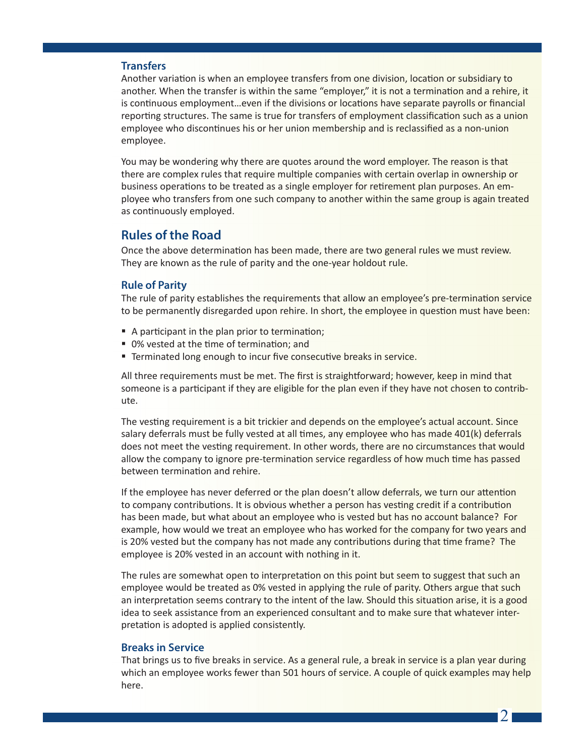#### **Transfers**

Another variation is when an employee transfers from one division, location or subsidiary to another. When the transfer is within the same "employer," it is not a termination and a rehire, it is continuous employment...even if the divisions or locations have separate payrolls or financial reporting structures. The same is true for transfers of employment classification such as a union employee who discontinues his or her union membership and is reclassified as a non-union employee.

You may be wondering why there are quotes around the word employer. The reason is that there are complex rules that require multiple companies with certain overlap in ownership or business operations to be treated as a single employer for retirement plan purposes. An employee who transfers from one such company to another within the same group is again treated as continuously employed.

## **Rules of the Road**

Once the above determination has been made, there are two general rules we must review. They are known as the rule of parity and the one-year holdout rule.

#### **Rule of Parity**

The rule of parity establishes the requirements that allow an employee's pre-termination service to be permanently disregarded upon rehire. In short, the employee in question must have been:

- A participant in the plan prior to termination;
- 0% vested at the time of termination; and
- **Terminated long enough to incur five consecutive breaks in service.**

All three requirements must be met. The first is straightforward; however, keep in mind that someone is a participant if they are eligible for the plan even if they have not chosen to contribute.

The vesting requirement is a bit trickier and depends on the employee's actual account. Since salary deferrals must be fully vested at all times, any employee who has made 401(k) deferrals does not meet the vesting requirement. In other words, there are no circumstances that would allow the company to ignore pre-termination service regardless of how much time has passed between termination and rehire.

If the employee has never deferred or the plan doesn't allow deferrals, we turn our attention to company contributions. It is obvious whether a person has vesting credit if a contribution has been made, but what about an employee who is vested but has no account balance? For example, how would we treat an employee who has worked for the company for two years and is 20% vested but the company has not made any contributions during that time frame? The employee is 20% vested in an account with nothing in it.

The rules are somewhat open to interpretation on this point but seem to suggest that such an employee would be treated as 0% vested in applying the rule of parity. Others argue that such an interpretation seems contrary to the intent of the law. Should this situation arise, it is a good idea to seek assistance from an experienced consultant and to make sure that whatever interpretation is adopted is applied consistently.

#### **Breaks in Service**

That brings us to five breaks in service. As a general rule, a break in service is a plan year during which an employee works fewer than 501 hours of service. A couple of quick examples may help here.

 $\mathcal{D}_{\mathbb{Z}}$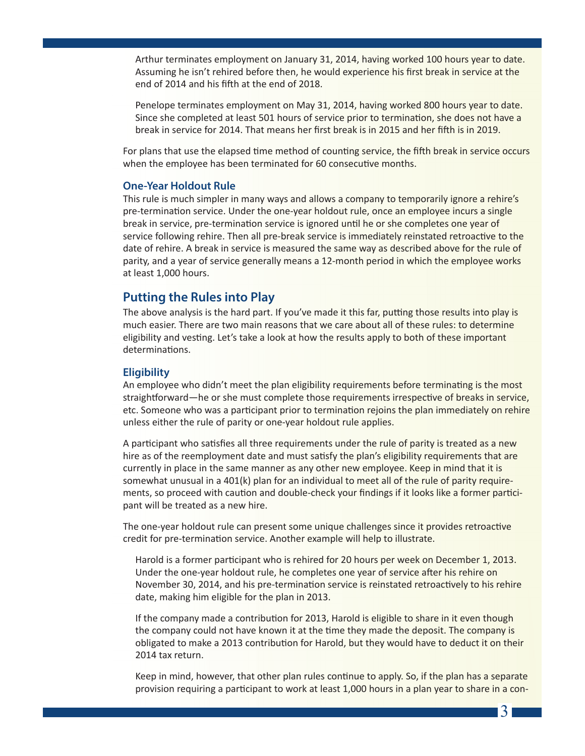Arthur terminates employment on January 31, 2014, having worked 100 hours year to date. Assuming he isn't rehired before then, he would experience his first break in service at the end of 2014 and his fifth at the end of 2018.

Penelope terminates employment on May 31, 2014, having worked 800 hours year to date. Since she completed at least 501 hours of service prior to termination, she does not have a break in service for 2014. That means her first break is in 2015 and her fifth is in 2019.

For plans that use the elapsed time method of counting service, the fifth break in service occurs when the employee has been terminated for 60 consecutive months.

#### **One-Year Holdout Rule**

This rule is much simpler in many ways and allows a company to temporarily ignore a rehire's pre-termination service. Under the one-year holdout rule, once an employee incurs a single break in service, pre-termination service is ignored until he or she completes one year of service following rehire. Then all pre-break service is immediately reinstated retroactive to the date of rehire. A break in service is measured the same way as described above for the rule of parity, and a year of service generally means a 12-month period in which the employee works at least 1,000 hours.

### **Putting the Rules into Play**

The above analysis is the hard part. If you've made it this far, putting those results into play is much easier. There are two main reasons that we care about all of these rules: to determine eligibility and vesting. Let's take a look at how the results apply to both of these important determinations.

#### **Eligibility**

An employee who didn't meet the plan eligibility requirements before terminating is the most straightforward—he or she must complete those requirements irrespective of breaks in service, etc. Someone who was a participant prior to termination rejoins the plan immediately on rehire unless either the rule of parity or one-year holdout rule applies.

A participant who satisfies all three requirements under the rule of parity is treated as a new hire as of the reemployment date and must satisfy the plan's eligibility requirements that are currently in place in the same manner as any other new employee. Keep in mind that it is somewhat unusual in a 401(k) plan for an individual to meet all of the rule of parity requirements, so proceed with caution and double-check your findings if it looks like a former participant will be treated as a new hire.

The one-year holdout rule can present some unique challenges since it provides retroactive credit for pre-termination service. Another example will help to illustrate.

Harold is a former participant who is rehired for 20 hours per week on December 1, 2013. Under the one-year holdout rule, he completes one year of service after his rehire on November 30, 2014, and his pre-termination service is reinstated retroactively to his rehire date, making him eligible for the plan in 2013.

If the company made a contribution for 2013, Harold is eligible to share in it even though the company could not have known it at the time they made the deposit. The company is obligated to make a 2013 contribution for Harold, but they would have to deduct it on their 2014 tax return.

Keep in mind, however, that other plan rules continue to apply. So, if the plan has a separate provision requiring a participant to work at least 1,000 hours in a plan year to share in a con-

3